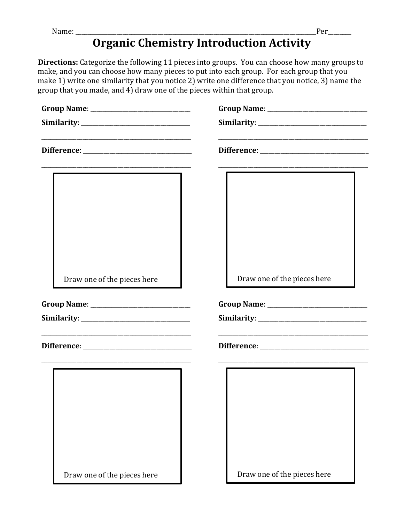## **Organic Chemistry Introduction Activity**

**Directions:** Categorize the following 11 pieces into groups. You can choose how many groups to make, and you can choose how many pieces to put into each group. For each group that you make 1) write one similarity that you notice 2) write one difference that you notice, 3) name the group that you made, and 4) draw one of the pieces within that group.

| Draw one of the pieces here | Draw one of the pieces here |
|-----------------------------|-----------------------------|
|                             |                             |
| Draw one of the pieces here | Draw one of the pieces here |